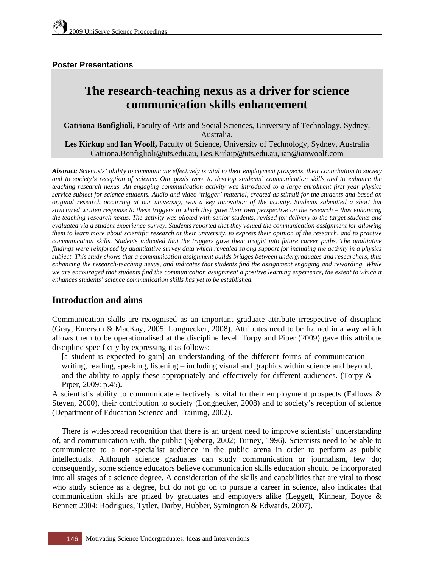### **Poster Presentations**

# **The research-teaching nexus as a driver for science communication skills enhancement**

**Catriona Bonfiglioli,** Faculty of Arts and Social Sciences, University of Technology, Sydney, Australia. **Les Kirkup** and **Ian Woolf,** Faculty of Science, University of Technology, Sydney, Australia

Catriona.Bonfiglioli@uts.edu.au, Les.Kirkup@uts.edu.au, ian@ianwoolf.com

*Abstract: Scientists' ability to communicate effectively is vital to their employment prospects, their contribution to society and to society's reception of science. Our goals were to develop students' communication skills and to enhance the teaching-research nexus. An engaging communication activity was introduced to a large enrolment first year physics service subject for science students. Audio and video 'trigger' material, created as stimuli for the students and based on original research occurring at our university, was a key innovation of the activity. Students submitted a short but structured written response to these triggers in which they gave their own perspective on the research – thus enhancing the teaching-research nexus. The activity was piloted with senior students, revised for delivery to the target students and evaluated via a student experience survey. Students reported that they valued the communication assignment for allowing them to learn more about scientific research at their university, to express their opinion of the research, and to practise communication skills. Students indicated that the triggers gave them insight into future career paths. The qualitative findings were reinforced by quantitative survey data which revealed strong support for including the activity in a physics subject. This study shows that a communication assignment builds bridges between undergraduates and researchers, thus enhancing the research-teaching nexus, and indicates that students find the assignment engaging and rewarding. While we are encouraged that students find the communication assignment a positive learning experience, the extent to which it enhances students' science communication skills has yet to be established.*

## **Introduction and aims**

Communication skills are recognised as an important graduate attribute irrespective of discipline (Gray, Emerson & MacKay, 2005; Longnecker, 2008). Attributes need to be framed in a way which allows them to be operationalised at the discipline level. Torpy and Piper (2009) gave this attribute discipline specificity by expressing it as follows:

[a student is expected to gain] an understanding of the different forms of communication – writing, reading, speaking, listening – including visual and graphics within science and beyond, and the ability to apply these appropriately and effectively for different audiences. (Torpy & Piper, 2009: p.45)**.** 

A scientist's ability to communicate effectively is vital to their employment prospects (Fallows & Steven, 2000), their contribution to society (Longnecker, 2008) and to society's reception of science (Department of Education Science and Training, 2002).

There is widespread recognition that there is an urgent need to improve scientists' understanding of, and communication with, the public (Sjøberg, 2002; Turney, 1996). Scientists need to be able to communicate to a non-specialist audience in the public arena in order to perform as public intellectuals. Although science graduates can study communication or journalism, few do; consequently, some science educators believe communication skills education should be incorporated into all stages of a science degree. A consideration of the skills and capabilities that are vital to those who study science as a degree, but do not go on to pursue a career in science, also indicates that communication skills are prized by graduates and employers alike (Leggett, Kinnear, Boyce & Bennett 2004; Rodrigues, Tytler, Darby, Hubber, Symington & Edwards, 2007).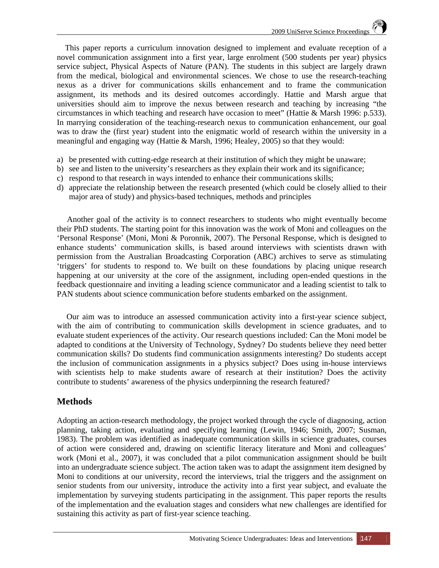This paper reports a curriculum innovation designed to implement and evaluate reception of a novel communication assignment into a first year, large enrolment (500 students per year) physics service subject, Physical Aspects of Nature (PAN). The students in this subject are largely drawn from the medical, biological and environmental sciences. We chose to use the research-teaching nexus as a driver for communications skills enhancement and to frame the communication assignment, its methods and its desired outcomes accordingly. Hattie and Marsh argue that universities should aim to improve the nexus between research and teaching by increasing "the circumstances in which teaching and research have occasion to meet" (Hattie & Marsh 1996: p.533). In marrying consideration of the teaching-research nexus to communication enhancement, our goal was to draw the (first year) student into the enigmatic world of research within the university in a meaningful and engaging way (Hattie & Marsh, 1996; Healey, 2005) so that they would:

- a) be presented with cutting-edge research at their institution of which they might be unaware;
- b) see and listen to the university's researchers as they explain their work and its significance;
- c) respond to that research in ways intended to enhance their communications skills;
- d) appreciate the relationship between the research presented (which could be closely allied to their major area of study) and physics-based techniques, methods and principles

 Another goal of the activity is to connect researchers to students who might eventually become their PhD students. The starting point for this innovation was the work of Moni and colleagues on the 'Personal Response' (Moni, Moni & Poronnik, 2007). The Personal Response, which is designed to enhance students' communication skills, is based around interviews with scientists drawn with permission from the Australian Broadcasting Corporation (ABC) archives to serve as stimulating 'triggers' for students to respond to. We built on these foundations by placing unique research happening at our university at the core of the assignment, including open-ended questions in the feedback questionnaire and inviting a leading science communicator and a leading scientist to talk to PAN students about science communication before students embarked on the assignment.

Our aim was to introduce an assessed communication activity into a first-year science subject, with the aim of contributing to communication skills development in science graduates, and to evaluate student experiences of the activity. Our research questions included: Can the Moni model be adapted to conditions at the University of Technology, Sydney? Do students believe they need better communication skills? Do students find communication assignments interesting? Do students accept the inclusion of communication assignments in a physics subject? Does using in-house interviews with scientists help to make students aware of research at their institution? Does the activity contribute to students' awareness of the physics underpinning the research featured?

## **Methods**

Adopting an action-research methodology, the project worked through the cycle of diagnosing, action planning, taking action, evaluating and specifying learning (Lewin, 1946; Smith, 2007; Susman, 1983). The problem was identified as inadequate communication skills in science graduates, courses of action were considered and, drawing on scientific literacy literature and Moni and colleagues' work (Moni et al., 2007), it was concluded that a pilot communication assignment should be built into an undergraduate science subject. The action taken was to adapt the assignment item designed by Moni to conditions at our university, record the interviews, trial the triggers and the assignment on senior students from our university, introduce the activity into a first year subject, and evaluate the implementation by surveying students participating in the assignment. This paper reports the results of the implementation and the evaluation stages and considers what new challenges are identified for sustaining this activity as part of first-year science teaching.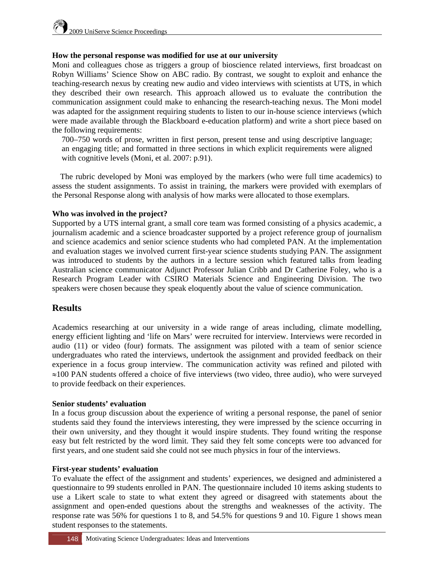#### **How the personal response was modified for use at our university**

Moni and colleagues chose as triggers a group of bioscience related interviews, first broadcast on Robyn Williams' Science Show on ABC radio. By contrast, we sought to exploit and enhance the teaching-research nexus by creating new audio and video interviews with scientists at UTS, in which they described their own research. This approach allowed us to evaluate the contribution the communication assignment could make to enhancing the research-teaching nexus. The Moni model was adapted for the assignment requiring students to listen to our in-house science interviews (which were made available through the Blackboard e-education platform) and write a short piece based on the following requirements:

700–750 words of prose, written in first person, present tense and using descriptive language; an engaging title; and formatted in three sections in which explicit requirements were aligned with cognitive levels (Moni, et al. 2007: p.91).

 The rubric developed by Moni was employed by the markers (who were full time academics) to assess the student assignments. To assist in training, the markers were provided with exemplars of the Personal Response along with analysis of how marks were allocated to those exemplars.

#### **Who was involved in the project?**

Supported by a UTS internal grant, a small core team was formed consisting of a physics academic, a journalism academic and a science broadcaster supported by a project reference group of journalism and science academics and senior science students who had completed PAN. At the implementation and evaluation stages we involved current first-year science students studying PAN. The assignment was introduced to students by the authors in a lecture session which featured talks from leading Australian science communicator Adjunct Professor Julian Cribb and Dr Catherine Foley, who is a Research Program Leader with CSIRO Materials Science and Engineering Division. The two speakers were chosen because they speak eloquently about the value of science communication.

### **Results**

Academics researching at our university in a wide range of areas including, climate modelling, energy efficient lighting and 'life on Mars' were recruited for interview. Interviews were recorded in audio (11) or video (four) formats. The assignment was piloted with a team of senior science undergraduates who rated the interviews, undertook the assignment and provided feedback on their experience in a focus group interview. The communication activity was refined and piloted with  $\approx$ 100 PAN students offered a choice of five interviews (two video, three audio), who were surveyed to provide feedback on their experiences.

#### **Senior students' evaluation**

In a focus group discussion about the experience of writing a personal response, the panel of senior students said they found the interviews interesting, they were impressed by the science occurring in their own university, and they thought it would inspire students. They found writing the response easy but felt restricted by the word limit. They said they felt some concepts were too advanced for first years, and one student said she could not see much physics in four of the interviews.

#### **First-year students' evaluation**

To evaluate the effect of the assignment and students' experiences, we designed and administered a questionnaire to 99 students enrolled in PAN. The questionnaire included 10 items asking students to use a Likert scale to state to what extent they agreed or disagreed with statements about the assignment and open-ended questions about the strengths and weaknesses of the activity. The response rate was 56% for questions 1 to 8, and 54.5% for questions 9 and 10. Figure 1 shows mean student responses to the statements.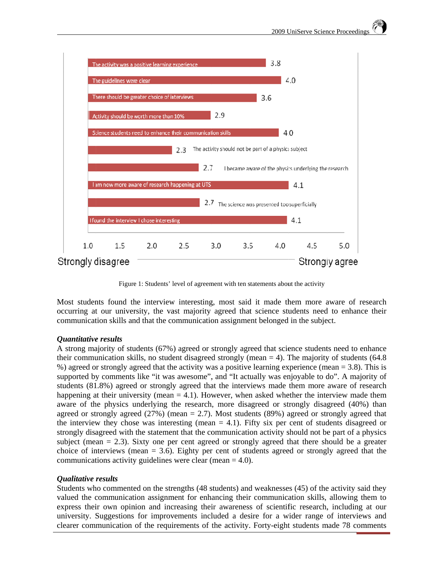

Figure 1: Students' level of agreement with ten statements about the activity

Most students found the interview interesting, most said it made them more aware of research occurring at our university, the vast majority agreed that science students need to enhance their communication skills and that the communication assignment belonged in the subject.

#### Quantitative results

A strong majority of students (67%) agreed or strongly agreed that science students need to enhance their communication skills, no student disagreed strongly (mean  $=$  4). The majority of students (64.8) %) agreed or strongly agreed that the activity was a positive learning experience (mean = 3.8). This is supported by comments like "it was awesome", and "It actually was enjoyable to do". A majority of students (81.8%) agreed or strongly agreed that the interviews made them more aware of research happening at their university (mean  $= 4.1$ ). However, when asked whether the interview made them aware of the physics underlying the research, more disagreed or strongly disagreed (40%) than agreed or strongly agreed  $(27%)$  (mean = 2.7). Most students  $(89%)$  agreed or strongly agreed that the interview they chose was interesting (mean  $= 4.1$ ). Fifty six per cent of students disagreed or strongly disagreed with the statement that the communication activity should not be part of a physics subject (mean  $= 2.3$ ). Sixty one per cent agreed or strongly agreed that there should be a greater choice of interviews (mean  $=$  3.6). Eighty per cent of students agreed or strongly agreed that the communications activity guidelines were clear (mean  $= 4.0$ ).

#### *Oualitative results*

Students who commented on the strengths (48 students) and weaknesses (45) of the activity said they valued the communication assignment for enhancing their communication skills, allowing them to express their own opinion and increasing their awareness of scientific research, including at our university. Suggestions for improvements included a desire for a wider range of interviews and clearer communication of the requirements of the activity. Forty-eight students made 78 comments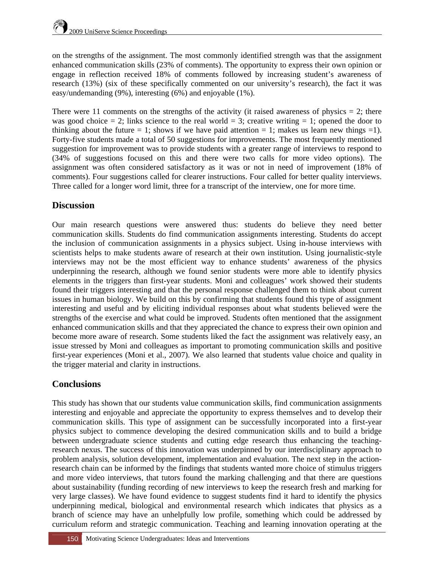on the strengths of the assignment. The most commonly identified strength was that the assignment enhanced communication skills (23% of comments). The opportunity to express their own opinion or engage in reflection received 18% of comments followed by increasing student's awareness of research (13%) (six of these specifically commented on our university's research), the fact it was easy/undemanding (9%), interesting (6%) and enjoyable (1%).

There were 11 comments on the strengths of the activity (it raised awareness of physics  $= 2$ ; there was good choice  $= 2$ ; links science to the real world  $= 3$ ; creative writing  $= 1$ ; opened the door to thinking about the future  $= 1$ ; shows if we have paid attention  $= 1$ ; makes us learn new things  $= 1$ ). Forty-five students made a total of 50 suggestions for improvements. The most frequently mentioned suggestion for improvement was to provide students with a greater range of interviews to respond to (34% of suggestions focused on this and there were two calls for more video options). The assignment was often considered satisfactory as it was or not in need of improvement (18% of comments). Four suggestions called for clearer instructions. Four called for better quality interviews. Three called for a longer word limit, three for a transcript of the interview, one for more time.

## **Discussion**

Our main research questions were answered thus: students do believe they need better communication skills. Students do find communication assignments interesting. Students do accept the inclusion of communication assignments in a physics subject. Using in-house interviews with scientists helps to make students aware of research at their own institution. Using journalistic-style interviews may not be the most efficient way to enhance students' awareness of the physics underpinning the research, although we found senior students were more able to identify physics elements in the triggers than first-year students. Moni and colleagues' work showed their students found their triggers interesting and that the personal response challenged them to think about current issues in human biology. We build on this by confirming that students found this type of assignment interesting and useful and by eliciting individual responses about what students believed were the strengths of the exercise and what could be improved. Students often mentioned that the assignment enhanced communication skills and that they appreciated the chance to express their own opinion and become more aware of research. Some students liked the fact the assignment was relatively easy, an issue stressed by Moni and colleagues as important to promoting communication skills and positive first-year experiences (Moni et al., 2007). We also learned that students value choice and quality in the trigger material and clarity in instructions.

## **Conclusions**

This study has shown that our students value communication skills, find communication assignments interesting and enjoyable and appreciate the opportunity to express themselves and to develop their communication skills. This type of assignment can be successfully incorporated into a first-year physics subject to commence developing the desired communication skills and to build a bridge between undergraduate science students and cutting edge research thus enhancing the teachingresearch nexus. The success of this innovation was underpinned by our interdisciplinary approach to problem analysis, solution development, implementation and evaluation. The next step in the actionresearch chain can be informed by the findings that students wanted more choice of stimulus triggers and more video interviews, that tutors found the marking challenging and that there are questions about sustainability (funding recording of new interviews to keep the research fresh and marking for very large classes). We have found evidence to suggest students find it hard to identify the physics underpinning medical, biological and environmental research which indicates that physics as a branch of science may have an unhelpfully low profile, something which could be addressed by curriculum reform and strategic communication. Teaching and learning innovation operating at the